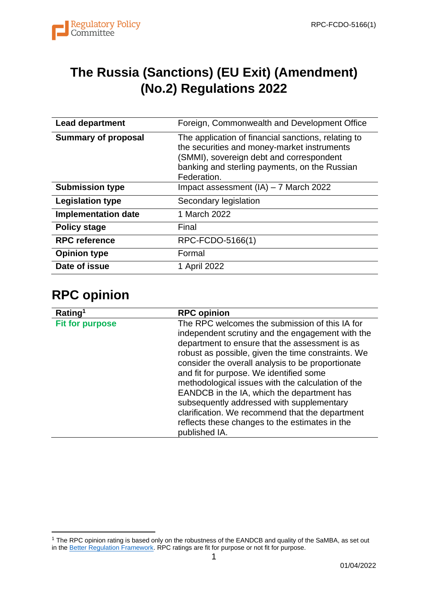

## **The Russia (Sanctions) (EU Exit) (Amendment) (No.2) Regulations 2022**

| <b>Lead department</b>     | Foreign, Commonwealth and Development Office                                                                                                                                                                   |
|----------------------------|----------------------------------------------------------------------------------------------------------------------------------------------------------------------------------------------------------------|
| <b>Summary of proposal</b> | The application of financial sanctions, relating to<br>the securities and money-market instruments<br>(SMMI), sovereign debt and correspondent<br>banking and sterling payments, on the Russian<br>Federation. |
| <b>Submission type</b>     | Impact assessment $(IA) - 7$ March 2022                                                                                                                                                                        |
| <b>Legislation type</b>    | Secondary legislation                                                                                                                                                                                          |
| <b>Implementation date</b> | 1 March 2022                                                                                                                                                                                                   |
| <b>Policy stage</b>        | Final                                                                                                                                                                                                          |
| <b>RPC reference</b>       | RPC-FCDO-5166(1)                                                                                                                                                                                               |
| <b>Opinion type</b>        | Formal                                                                                                                                                                                                         |
| Date of issue              | 1 April 2022                                                                                                                                                                                                   |

### **RPC opinion**

| Rating <sup>1</sup>    | <b>RPC opinion</b>                                                                                                                                                                                                                                                                                                                                                                                                                                                                                                                                                               |
|------------------------|----------------------------------------------------------------------------------------------------------------------------------------------------------------------------------------------------------------------------------------------------------------------------------------------------------------------------------------------------------------------------------------------------------------------------------------------------------------------------------------------------------------------------------------------------------------------------------|
| <b>Fit for purpose</b> | The RPC welcomes the submission of this IA for<br>independent scrutiny and the engagement with the<br>department to ensure that the assessment is as<br>robust as possible, given the time constraints. We<br>consider the overall analysis to be proportionate<br>and fit for purpose. We identified some<br>methodological issues with the calculation of the<br>EANDCB in the IA, which the department has<br>subsequently addressed with supplementary<br>clarification. We recommend that the department<br>reflects these changes to the estimates in the<br>published IA. |

<sup>1</sup> The RPC opinion rating is based only on the robustness of the EANDCB and quality of the SaMBA, as set out in th[e Better Regulation Framework.](https://www.gov.uk/government/publications/better-regulation-framework) RPC ratings are fit for purpose or not fit for purpose.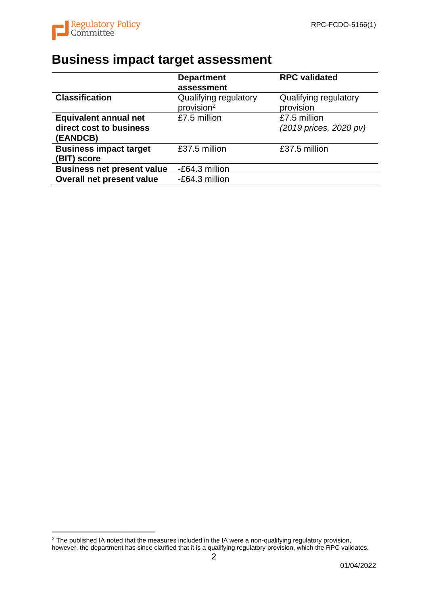

# **Business impact target assessment**

|                                   | <b>Department</b>      | <b>RPC</b> validated   |
|-----------------------------------|------------------------|------------------------|
|                                   | assessment             |                        |
| <b>Classification</b>             | Qualifying regulatory  | Qualifying regulatory  |
|                                   | provision <sup>2</sup> | provision              |
| <b>Equivalent annual net</b>      | £7.5 million           | £7.5 million           |
| direct cost to business           |                        | (2019 prices, 2020 pv) |
| (EANDCB)                          |                        |                        |
| <b>Business impact target</b>     | £37.5 million          | £37.5 million          |
| (BIT) score                       |                        |                        |
| <b>Business net present value</b> | -£64.3 million         |                        |
| <b>Overall net present value</b>  | -£64.3 million         |                        |

 $2$  The published IA noted that the measures included in the IA were a non-qualifying regulatory provision, however, the department has since clarified that it is a qualifying regulatory provision, which the RPC validates.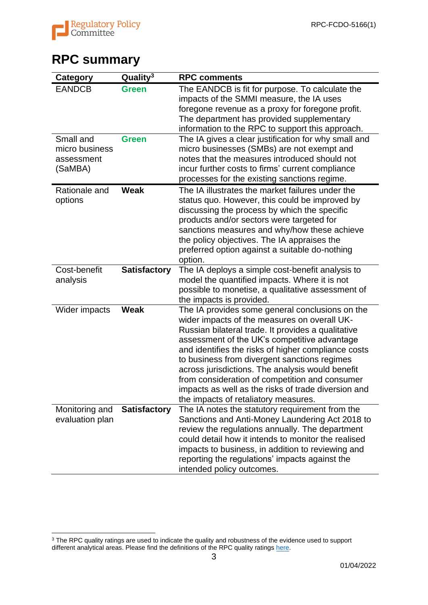

## **RPC summary**

| <b>Category</b>                                      | Quality <sup>3</sup> | <b>RPC comments</b>                                                                                                                                                                                                                                                                                                                                                                                                                                                                                               |
|------------------------------------------------------|----------------------|-------------------------------------------------------------------------------------------------------------------------------------------------------------------------------------------------------------------------------------------------------------------------------------------------------------------------------------------------------------------------------------------------------------------------------------------------------------------------------------------------------------------|
| <b>EANDCB</b>                                        | <b>Green</b>         | The EANDCB is fit for purpose. To calculate the<br>impacts of the SMMI measure, the IA uses<br>foregone revenue as a proxy for foregone profit.<br>The department has provided supplementary<br>information to the RPC to support this approach.                                                                                                                                                                                                                                                                  |
| Small and<br>micro business<br>assessment<br>(SaMBA) | <b>Green</b>         | The IA gives a clear justification for why small and<br>micro businesses (SMBs) are not exempt and<br>notes that the measures introduced should not<br>incur further costs to firms' current compliance<br>processes for the existing sanctions regime.                                                                                                                                                                                                                                                           |
| Rationale and<br>options                             | Weak                 | The IA illustrates the market failures under the<br>status quo. However, this could be improved by<br>discussing the process by which the specific<br>products and/or sectors were targeted for<br>sanctions measures and why/how these achieve<br>the policy objectives. The IA appraises the<br>preferred option against a suitable do-nothing<br>option.                                                                                                                                                       |
| Cost-benefit<br>analysis                             | <b>Satisfactory</b>  | The IA deploys a simple cost-benefit analysis to<br>model the quantified impacts. Where it is not<br>possible to monetise, a qualitative assessment of<br>the impacts is provided.                                                                                                                                                                                                                                                                                                                                |
| Wider impacts                                        | Weak                 | The IA provides some general conclusions on the<br>wider impacts of the measures on overall UK-<br>Russian bilateral trade. It provides a qualitative<br>assessment of the UK's competitive advantage<br>and identifies the risks of higher compliance costs<br>to business from divergent sanctions regimes<br>across jurisdictions. The analysis would benefit<br>from consideration of competition and consumer<br>impacts as well as the risks of trade diversion and<br>the impacts of retaliatory measures. |
| Monitoring and<br>evaluation plan                    | <b>Satisfactory</b>  | The IA notes the statutory requirement from the<br>Sanctions and Anti-Money Laundering Act 2018 to<br>review the regulations annually. The department<br>could detail how it intends to monitor the realised<br>impacts to business, in addition to reviewing and<br>reporting the regulations' impacts against the<br>intended policy outcomes.                                                                                                                                                                  |

 $3$  The RPC quality ratings are used to indicate the quality and robustness of the evidence used to support different analytical areas. Please find the definitions of the RPC quality ratings [here.](https://www.gov.uk/government/news/rpc-launches-new-opinion-templates)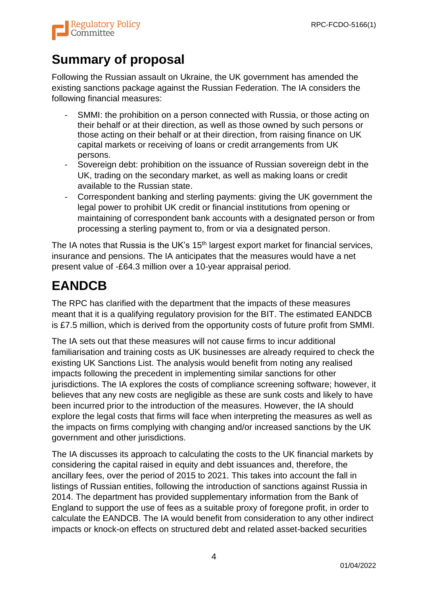

## **Summary of proposal**

Following the Russian assault on Ukraine, the UK government has amended the existing sanctions package against the Russian Federation. The IA considers the following financial measures:

- SMMI: the prohibition on a person connected with Russia, or those acting on their behalf or at their direction, as well as those owned by such persons or those acting on their behalf or at their direction, from raising finance on UK capital markets or receiving of loans or credit arrangements from UK persons.
- Sovereign debt: prohibition on the issuance of Russian sovereign debt in the UK, trading on the secondary market, as well as making loans or credit available to the Russian state.
- Correspondent banking and sterling payments: giving the UK government the legal power to prohibit UK credit or financial institutions from opening or maintaining of correspondent bank accounts with a designated person or from processing a sterling payment to, from or via a designated person.

The IA notes that Russia is the UK's 15<sup>th</sup> largest export market for financial services, insurance and pensions. The IA anticipates that the measures would have a net present value of -£64.3 million over a 10-year appraisal period.

## **EANDCB**

The RPC has clarified with the department that the impacts of these measures meant that it is a qualifying regulatory provision for the BIT. The estimated EANDCB is £7.5 million, which is derived from the opportunity costs of future profit from SMMI.

The IA sets out that these measures will not cause firms to incur additional familiarisation and training costs as UK businesses are already required to check the existing UK Sanctions List. The analysis would benefit from noting any realised impacts following the precedent in implementing similar sanctions for other jurisdictions. The IA explores the costs of compliance screening software; however, it believes that any new costs are negligible as these are sunk costs and likely to have been incurred prior to the introduction of the measures. However, the IA should explore the legal costs that firms will face when interpreting the measures as well as the impacts on firms complying with changing and/or increased sanctions by the UK government and other jurisdictions.

The IA discusses its approach to calculating the costs to the UK financial markets by considering the capital raised in equity and debt issuances and, therefore, the ancillary fees, over the period of 2015 to 2021. This takes into account the fall in listings of Russian entities, following the introduction of sanctions against Russia in 2014. The department has provided supplementary information from the Bank of England to support the use of fees as a suitable proxy of foregone profit, in order to calculate the EANDCB. The IA would benefit from consideration to any other indirect impacts or knock-on effects on structured debt and related asset-backed securities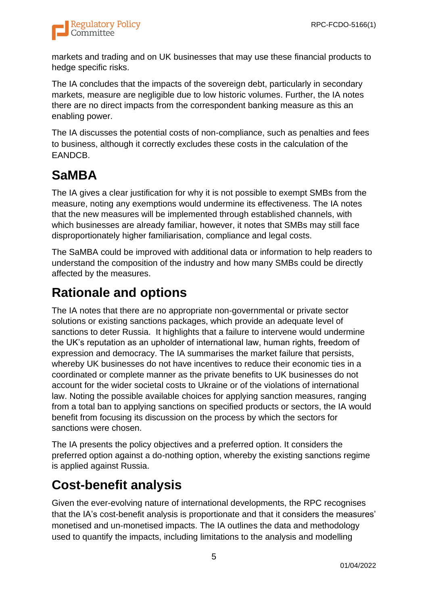

markets and trading and on UK businesses that may use these financial products to hedge specific risks.

The IA concludes that the impacts of the sovereign debt, particularly in secondary markets, measure are negligible due to low historic volumes. Further, the IA notes there are no direct impacts from the correspondent banking measure as this an enabling power.

The IA discusses the potential costs of non-compliance, such as penalties and fees to business, although it correctly excludes these costs in the calculation of the EANDCB.

## **SaMBA**

The IA gives a clear justification for why it is not possible to exempt SMBs from the measure, noting any exemptions would undermine its effectiveness. The IA notes that the new measures will be implemented through established channels, with which businesses are already familiar, however, it notes that SMBs may still face disproportionately higher familiarisation, compliance and legal costs.

The SaMBA could be improved with additional data or information to help readers to understand the composition of the industry and how many SMBs could be directly affected by the measures.

### **Rationale and options**

The IA notes that there are no appropriate non-governmental or private sector solutions or existing sanctions packages, which provide an adequate level of sanctions to deter Russia. It highlights that a failure to intervene would undermine the UK's reputation as an upholder of international law, human rights, freedom of expression and democracy. The IA summarises the market failure that persists, whereby UK businesses do not have incentives to reduce their economic ties in a coordinated or complete manner as the private benefits to UK businesses do not account for the wider societal costs to Ukraine or of the violations of international law. Noting the possible available choices for applying sanction measures, ranging from a total ban to applying sanctions on specified products or sectors, the IA would benefit from focusing its discussion on the process by which the sectors for sanctions were chosen.

The IA presents the policy objectives and a preferred option. It considers the preferred option against a do-nothing option, whereby the existing sanctions regime is applied against Russia.

## **Cost-benefit analysis**

Given the ever-evolving nature of international developments, the RPC recognises that the IA's cost-benefit analysis is proportionate and that it considers the measures' monetised and un-monetised impacts. The IA outlines the data and methodology used to quantify the impacts, including limitations to the analysis and modelling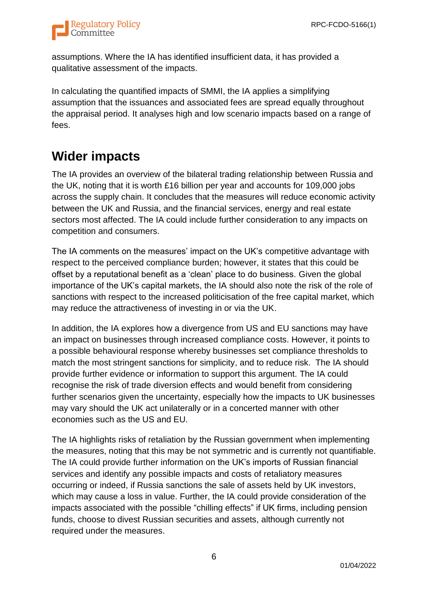

assumptions. Where the IA has identified insufficient data, it has provided a qualitative assessment of the impacts.

In calculating the quantified impacts of SMMI, the IA applies a simplifying assumption that the issuances and associated fees are spread equally throughout the appraisal period. It analyses high and low scenario impacts based on a range of fees.

#### **Wider impacts**

The IA provides an overview of the bilateral trading relationship between Russia and the UK, noting that it is worth £16 billion per year and accounts for 109,000 jobs across the supply chain. It concludes that the measures will reduce economic activity between the UK and Russia, and the financial services, energy and real estate sectors most affected. The IA could include further consideration to any impacts on competition and consumers.

The IA comments on the measures' impact on the UK's competitive advantage with respect to the perceived compliance burden; however, it states that this could be offset by a reputational benefit as a 'clean' place to do business. Given the global importance of the UK's capital markets, the IA should also note the risk of the role of sanctions with respect to the increased politicisation of the free capital market, which may reduce the attractiveness of investing in or via the UK.

In addition, the IA explores how a divergence from US and EU sanctions may have an impact on businesses through increased compliance costs. However, it points to a possible behavioural response whereby businesses set compliance thresholds to match the most stringent sanctions for simplicity, and to reduce risk. The IA should provide further evidence or information to support this argument. The IA could recognise the risk of trade diversion effects and would benefit from considering further scenarios given the uncertainty, especially how the impacts to UK businesses may vary should the UK act unilaterally or in a concerted manner with other economies such as the US and EU.

The IA highlights risks of retaliation by the Russian government when implementing the measures, noting that this may be not symmetric and is currently not quantifiable. The IA could provide further information on the UK's imports of Russian financial services and identify any possible impacts and costs of retaliatory measures occurring or indeed, if Russia sanctions the sale of assets held by UK investors, which may cause a loss in value. Further, the IA could provide consideration of the impacts associated with the possible "chilling effects" if UK firms, including pension funds, choose to divest Russian securities and assets, although currently not required under the measures.